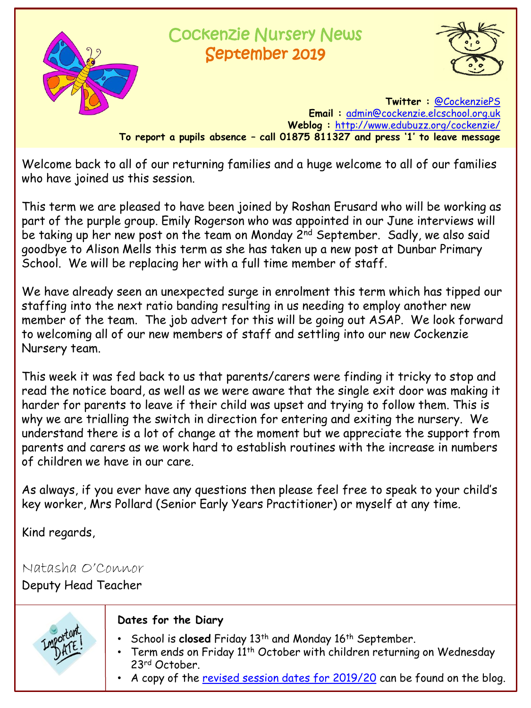

## Cockenzie Nursery News September 2019



**Twitter :** [@CockenziePS](https://twitter.com/CockenziePS) **Email :** [admin@cockenzie.elcschool.org.uk](mailto:admin@cockenzie.elcschool.org.uk) **Weblog :** <http://www.edubuzz.org/cockenzie/> **To report a pupils absence – call 01875 811327 and press '1' to leave message**

Welcome back to all of our returning families and a huge welcome to all of our families who have joined us this session.

This term we are pleased to have been joined by Roshan Erusard who will be working as part of the purple group. Emily Rogerson who was appointed in our June interviews will be taking up her new post on the team on Monday 2<sup>nd</sup> September. Sadly, we also said goodbye to Alison Mells this term as she has taken up a new post at Dunbar Primary School. We will be replacing her with a full time member of staff.

We have already seen an unexpected surge in enrolment this term which has tipped our staffing into the next ratio banding resulting in us needing to employ another new member of the team. The job advert for this will be going out ASAP. We look forward to welcoming all of our new members of staff and settling into our new Cockenzie Nursery team.

This week it was fed back to us that parents/carers were finding it tricky to stop and read the notice board, as well as we were aware that the single exit door was making it harder for parents to leave if their child was upset and trying to follow them. This is why we are trialling the switch in direction for entering and exiting the nursery. We understand there is a lot of change at the moment but we appreciate the support from parents and carers as we work hard to establish routines with the increase in numbers of children we have in our care.

As always, if you ever have any questions then please feel free to speak to your child's key worker, Mrs Pollard (Senior Early Years Practitioner) or myself at any time.

Kind regards,

Natasha O'Connor

Deputy Head Teacher